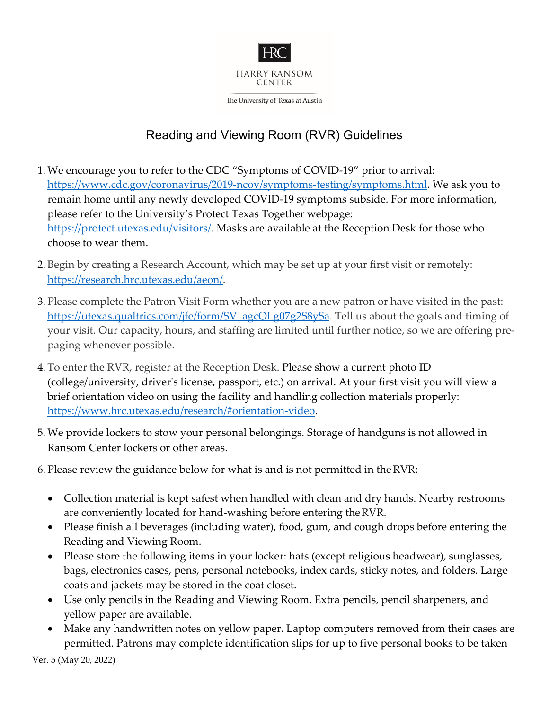

The University of Texas at Austin

## Reading and Viewing Room (RVR) Guidelines

- 1. We encourage you to refer to the CDC "Symptoms of COVID-19" prior to arrival: https://www.cdc.gov/coronavirus/2019-ncov/symptoms-testing/symptoms.html. We ask you to remain home until any newly developed COVID-19 symptoms subside. For more information, please refer to the University's Protect Texas Together webpage: https://protect.utexas.edu/visitors/. Masks are available at the Reception Desk for those who choose to wear them.
- 2. Begin by creating a Research Account, which may be set up at your first visit or remotely: https://research.hrc.utexas.edu/aeon/.
- 3. Please complete the Patron Visit Form whether you are a new patron or have visited in the past: https://utexas.qualtrics.com/jfe/form/SV\_agcQLg07g2S8ySa. Tell us about the goals and timing of your visit. Our capacity, hours, and staffing are limited until further notice, so we are offering prepaging whenever possible.
- 4. To enter the RVR, register at the Reception Desk. Please show a current photo ID (college/university, driver's license, passport, etc.) on arrival. At your first visit you will view a brief orientation video on using the facility and handling collection materials properly: https://www.hrc.utexas.edu/research/#orientation-video.
- 5. We provide lockers to stow your personal belongings. Storage of handguns is not allowed in Ransom Center lockers or other areas.
- 6. Please review the guidance below for what is and is not permitted in theRVR:
	- Collection material is kept safest when handled with clean and dry hands. Nearby restrooms are conveniently located for hand-washing before entering theRVR.
	- Please finish all beverages (including water), food, gum, and cough drops before entering the Reading and Viewing Room.
	- Please store the following items in your locker: hats (except religious headwear), sunglasses, bags, electronics cases, pens, personal notebooks, index cards, sticky notes, and folders. Large coats and jackets may be stored in the coat closet.
	- Use only pencils in the Reading and Viewing Room. Extra pencils, pencil sharpeners, and yellow paper are available.
	- Make any handwritten notes on yellow paper. Laptop computers removed from their cases are permitted. Patrons may complete identification slips for up to five personal books to be taken

Ver. 5 (May 20, 2022)